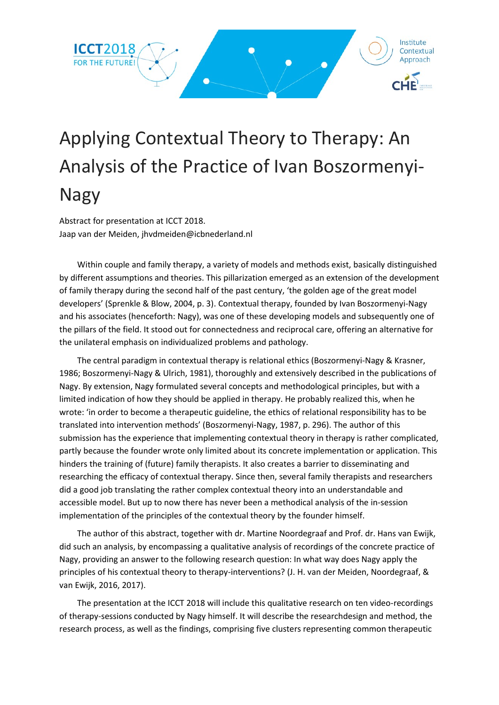

# Applying Contextual Theory to Therapy: An Analysis of the Practice of Ivan Boszormenyi-Nagy

Abstract for presentation at ICCT 2018. Jaap van der Meiden, jhvdmeiden@icbnederland.nl

Within couple and family therapy, a variety of models and methods exist, basically distinguished by different assumptions and theories. This pillarization emerged as an extension of the development of family therapy during the second half of the past century, 'the golden age of the great model developers' (Sprenkle & Blow, 2004, p. 3). Contextual therapy, founded by Ivan Boszormenyi-Nagy and his associates (henceforth: Nagy), was one of these developing models and subsequently one of the pillars of the field. It stood out for connectedness and reciprocal care, offering an alternative for the unilateral emphasis on individualized problems and pathology.

The central paradigm in contextual therapy is relational ethics (Boszormenyi-Nagy & Krasner, 1986; Boszormenyi-Nagy & Ulrich, 1981), thoroughly and extensively described in the publications of Nagy. By extension, Nagy formulated several concepts and methodological principles, but with a limited indication of how they should be applied in therapy. He probably realized this, when he wrote: 'in order to become a therapeutic guideline, the ethics of relational responsibility has to be translated into intervention methods' (Boszormenyi-Nagy, 1987, p. 296). The author of this submission has the experience that implementing contextual theory in therapy is rather complicated, partly because the founder wrote only limited about its concrete implementation or application. This hinders the training of (future) family therapists. It also creates a barrier to disseminating and researching the efficacy of contextual therapy. Since then, several family therapists and researchers did a good job translating the rather complex contextual theory into an understandable and accessible model. But up to now there has never been a methodical analysis of the in-session implementation of the principles of the contextual theory by the founder himself.

The author of this abstract, together with dr. Martine Noordegraaf and Prof. dr. Hans van Ewijk, did such an analysis, by encompassing a qualitative analysis of recordings of the concrete practice of Nagy, providing an answer to the following research question: In what way does Nagy apply the principles of his contextual theory to therapy-interventions? (J. H. van der Meiden, Noordegraaf, & van Ewijk, 2016, 2017).

The presentation at the ICCT 2018 will include this qualitative research on ten video-recordings of therapy-sessions conducted by Nagy himself. It will describe the researchdesign and method, the research process, as well as the findings, comprising five clusters representing common therapeutic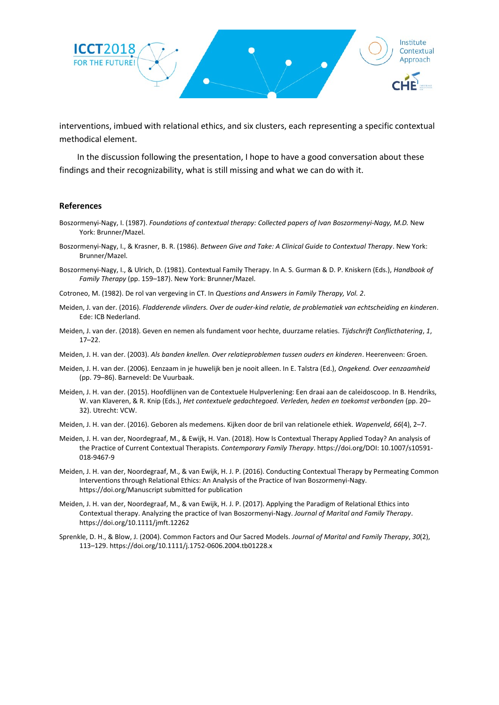

interventions, imbued with relational ethics, and six clusters, each representing a specific contextual methodical element.

In the discussion following the presentation, I hope to have a good conversation about these findings and their recognizability, what is still missing and what we can do with it.

#### **References**

- Boszormenyi-Nagy, I. (1987). *Foundations of contextual therapy: Collected papers of Ivan Boszormenyi-Nagy, M.D.* New York: Brunner/Mazel.
- Boszormenyi-Nagy, I., & Krasner, B. R. (1986). *Between Give and Take: A Clinical Guide to Contextual Therapy*. New York: Brunner/Mazel.
- Boszormenyi-Nagy, I., & Ulrich, D. (1981). Contextual Family Therapy. In A. S. Gurman & D. P. Kniskern (Eds.), *Handbook of Family Therapy* (pp. 159–187). New York: Brunner/Mazel.
- Cotroneo, M. (1982). De rol van vergeving in CT. In *Questions and Answers in Family Therapy, Vol. 2*.
- Meiden, J. van der. (2016). *Fladderende vlinders. Over de ouder-kind relatie, de problematiek van echtscheiding en kinderen*. Ede: ICB Nederland.
- Meiden, J. van der. (2018). Geven en nemen als fundament voor hechte, duurzame relaties. *Tijdschrift Conflicthatering*, *1*, 17–22.
- Meiden, J. H. van der. (2003). *Als banden knellen. Over relatieproblemen tussen ouders en kinderen*. Heerenveen: Groen.
- Meiden, J. H. van der. (2006). Eenzaam in je huwelijk ben je nooit alleen. In E. Talstra (Ed.), *Ongekend. Over eenzaamheid* (pp. 79–86). Barneveld: De Vuurbaak.
- Meiden, J. H. van der. (2015). Hoofdlijnen van de Contextuele Hulpverlening: Een draai aan de caleidoscoop. In B. Hendriks, W. van Klaveren, & R. Knip (Eds.), *Het contextuele gedachtegoed. Verleden, heden en toekomst verbonden* (pp. 20– 32). Utrecht: VCW.
- Meiden, J. H. van der. (2016). Geboren als medemens. Kijken door de bril van relationele ethiek. *Wapenveld*, *66*(4), 2–7.
- Meiden, J. H. van der, Noordegraaf, M., & Ewijk, H. Van. (2018). How Is Contextual Therapy Applied Today? An analysis of the Practice of Current Contextual Therapists. *Contemporary Family Therapy*. https://doi.org/DOI: 10.1007/s10591- 018-9467-9
- Meiden, J. H. van der, Noordegraaf, M., & van Ewijk, H. J. P. (2016). Conducting Contextual Therapy by Permeating Common Interventions through Relational Ethics: An Analysis of the Practice of Ivan Boszormenyi-Nagy. https://doi.org/Manuscript submitted for publication
- Meiden, J. H. van der, Noordegraaf, M., & van Ewijk, H. J. P. (2017). Applying the Paradigm of Relational Ethics into Contextual therapy. Analyzing the practice of Ivan Boszormenyi-Nagy. *Journal of Marital and Family Therapy*. https://doi.org/10.1111/jmft.12262
- Sprenkle, D. H., & Blow, J. (2004). Common Factors and Our Sacred Models. *Journal of Marital and Family Therapy*, *30*(2), 113–129. https://doi.org/10.1111/j.1752-0606.2004.tb01228.x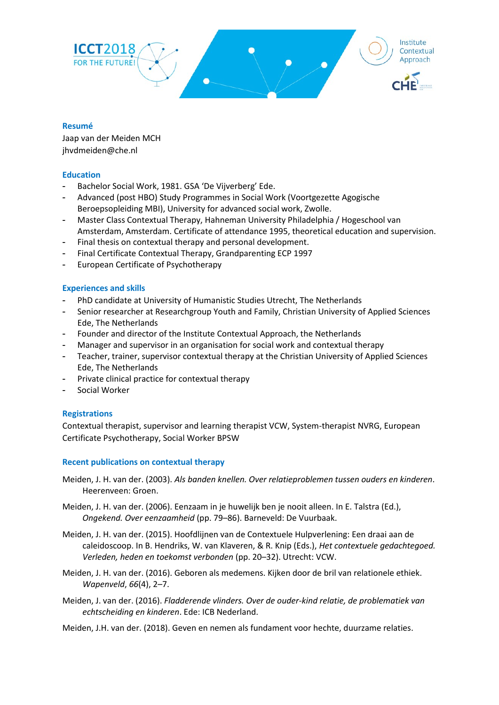

## **Resumé**

Jaap van der Meiden MCH jhvdmeiden@che.nl

## **Education**

- Bachelor Social Work, 1981. GSA 'De Vijverberg' Ede.
- Advanced (post HBO) Study Programmes in Social Work (Voortgezette Agogische Beroepsopleiding MBI), University for advanced social work, Zwolle.
- Master Class Contextual Therapy, Hahneman University Philadelphia / Hogeschool van Amsterdam, Amsterdam. Certificate of attendance 1995, theoretical education and supervision.
- Final thesis on contextual therapy and personal development.
- Final Certificate Contextual Therapy, Grandparenting ECP 1997
- European Certificate of Psychotherapy

#### **Experiences and skills**

- PhD candidate at University of Humanistic Studies Utrecht, The Netherlands
- Senior researcher at Researchgroup Youth and Family, Christian University of Applied Sciences Ede, The Netherlands
- Founder and director of the Institute Contextual Approach, the Netherlands
- Manager and supervisor in an organisation for social work and contextual therapy
- Teacher, trainer, supervisor contextual therapy at the Christian University of Applied Sciences Ede, The Netherlands
- Private clinical practice for contextual therapy
- Social Worker

## **Registrations**

Contextual therapist, supervisor and learning therapist VCW, System-therapist NVRG, European Certificate Psychotherapy, Social Worker BPSW

#### **Recent publications on contextual therapy**

- Meiden, J. H. van der. (2003). *Als banden knellen. Over relatieproblemen tussen ouders en kinderen*. Heerenveen: Groen.
- Meiden, J. H. van der. (2006). Eenzaam in je huwelijk ben je nooit alleen. In E. Talstra (Ed.), *Ongekend. Over eenzaamheid* (pp. 79–86). Barneveld: De Vuurbaak.
- Meiden, J. H. van der. (2015). Hoofdlijnen van de Contextuele Hulpverlening: Een draai aan de caleidoscoop. In B. Hendriks, W. van Klaveren, & R. Knip (Eds.), *Het contextuele gedachtegoed. Verleden, heden en toekomst verbonden* (pp. 20–32). Utrecht: VCW.
- Meiden, J. H. van der. (2016). Geboren als medemens. Kijken door de bril van relationele ethiek. *Wapenveld*, *66*(4), 2–7.
- Meiden, J. van der. (2016). *Fladderende vlinders. Over de ouder-kind relatie, de problematiek van echtscheiding en kinderen*. Ede: ICB Nederland.
- Meiden, J.H. van der. (2018). Geven en nemen als fundament voor hechte, duurzame relaties.